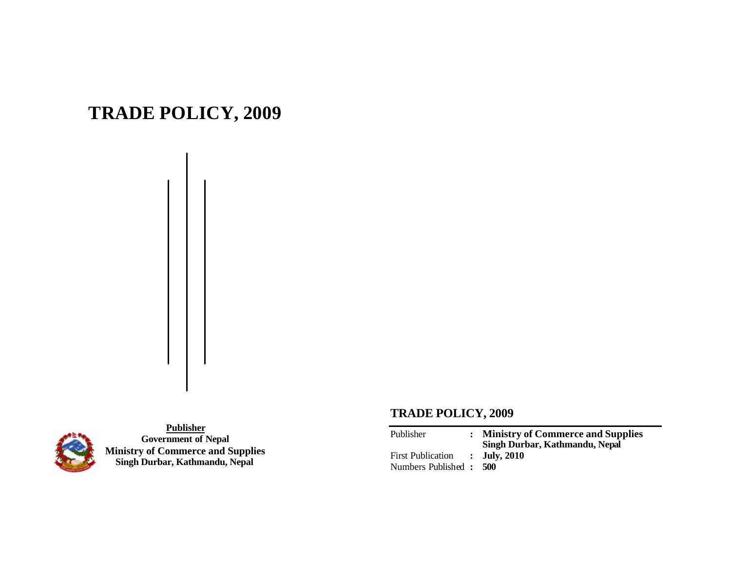# **TRADE POLICY, 2009**



**Publisher Government of Nepal Ministry of Commerce and Supplies Singh Durbar, Kathmandu, Nepal**

## **TRADE POLICY, 2009**

| Publisher                | : Ministry of Commerce and Supplies<br>Singh Durbar, Kathmandu, Nepal |
|--------------------------|-----------------------------------------------------------------------|
| <b>First Publication</b> | $\therefore$ July, 2010                                               |
| Numbers Published : 500  |                                                                       |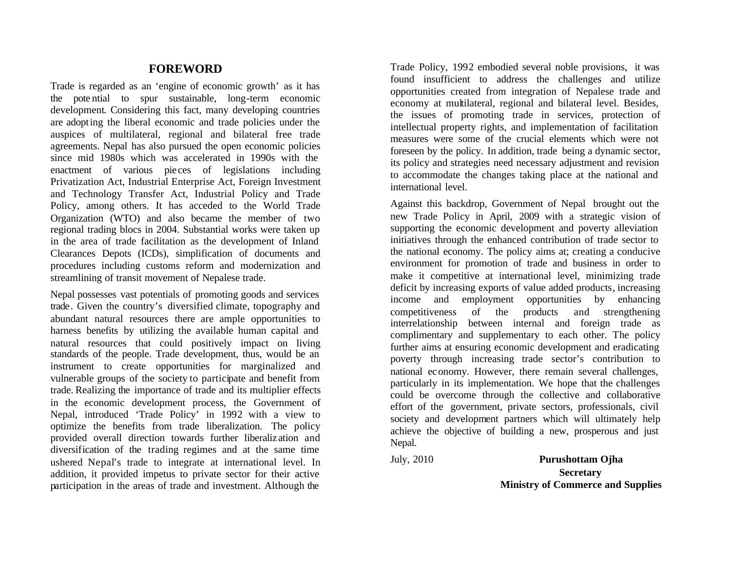#### **FOREWORD**

Trade is regarded as an 'engine of economic growth' as it has the pote ntial to spur sustainable, long-term economic development. Considering this fact, many developing countries are adopting the liberal economic and trade policies under the auspices of multilateral, regional and bilateral free trade agreements. Nepal has also pursued the open economic policies since mid 1980s which was accelerated in 1990s with the enactment of various pie ces of legislations including Privatization Act, Industrial Enterprise Act, Foreign Investment and Technology Transfer Act, Industrial Policy and Trade Policy, among others. It has acceded to the World Trade Organization (WTO) and also became the member of two regional trading blocs in 2004. Substantial works were taken up in the area of trade facilitation as the development of Inland Clearances Depots (ICDs), simplification of documents and procedures including customs reform and modernization and streamlining of transit movement of Nepalese trade.

Nepal possesses vast potentials of promoting goods and services trade. Given the country's diversified climate, topography and abundant natural resources there are ample opportunities to harness benefits by utilizing the available human capital and natural resources that could positively impact on living standards of the people. Trade development, thus, would be an instrument to create opportunities for marginalized and vulnerable groups of the society to participate and benefit from trade. Realizing the importance of trade and its multiplier effects in the economic development process, the Government of Nepal, introduced 'Trade Policy' in 1992 with a view to optimize the benefits from trade liberalization. The policy provided overall direction towards further liberaliz ation and diversification of the trading regimes and at the same time ushered Nepal's trade to integrate at international level. In addition, it provided impetus to private sector for their active participation in the areas of trade and investment. Although the

Trade Policy, 1992 embodied several noble provisions, it was found insufficient to address the challenges and utilize opportunities created from integration of Nepalese trade and economy at multilateral, regional and bilateral level. Besides, the issues of promoting trade in services, protection of intellectual property rights, and implementation of facilitation measures were some of the crucial elements which were not foreseen by the policy. In addition, trade being a dynamic sector, its policy and strategies need necessary adjustment and revision to accommodate the changes taking place at the national and international level.

Against this backdrop, Government of Nepal brought out the new Trade Policy in April, 2009 with a strategic vision of supporting the economic development and poverty alleviation initiatives through the enhanced contribution of trade sector to the national economy. The policy aims at; creating a conducive environment for promotion of trade and business in order to make it competitive at international level, minimizing trade deficit by increasing exports of value added products, increasing income and employment opportunities by enhancing competitiveness of the products and strengthening interrelationship between internal and foreign trade as complimentary and supplementary to each other. The policy further aims at ensuring economic development and eradicating poverty through increasing trade sector's contribution to national economy. However, there remain several challenges, particularly in its implementation. We hope that the challenges could be overcome through the collective and collaborative effort of the government, private sectors, professionals, civil society and development partners which will ultimately help achieve the objective of building a new, prosperous and just Nepal.

July, 2010 **Purushottam Ojha Secretary Ministry of Commerce and Supplies**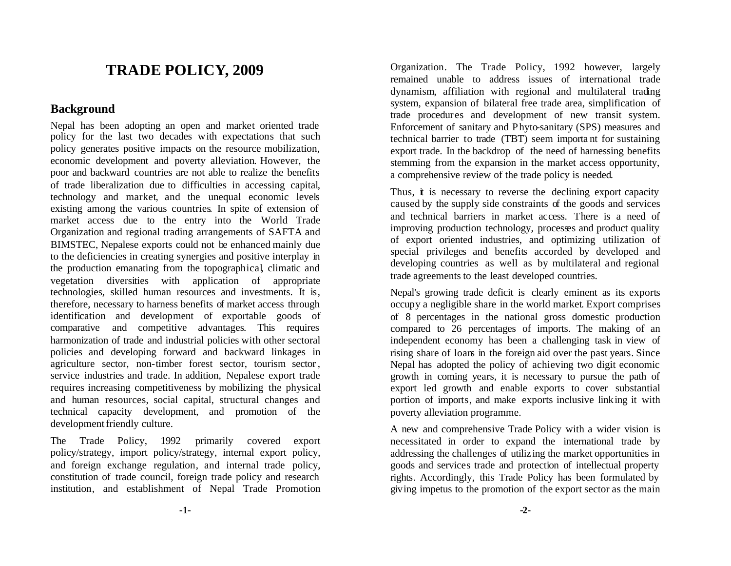# **TRADE POLICY, 2009**

#### **Background**

Nepal has been adopting an open and market oriented trade policy for the last two decades with expectations that such policy generates positive impacts on the resource mobilization, economic development and poverty alleviation. However, the poor and backward countries are not able to realize the benefits of trade liberalization due to difficulties in accessing capital, technology and market, and the unequal economic levels existing among the various countries. In spite of extension of market access due to the entry into the World Trade Organization and regional trading arrangements of SAFTA and BIMSTEC, Nepalese exports could not be enhanced mainly due to the deficiencies in creating synergies and positive interplay in the production emanating from the topographical, climatic and vegetation diversities with application of appropriate technologies, skilled human resources and investments. It is, therefore, necessary to harness benefits of market access through identification and development of exportable goods of comparative and competitive advantages. This requires harmonization of trade and industrial policies with other sectoral policies and developing forward and backward linkages in agriculture sector, non-timber forest sector, tourism sector , service industries and trade. In addition, Nepalese export trade requires increasing competitiveness by mobilizing the physical and human resources, social capital, structural changes and technical capacity development, and promotion of the development friendly culture.

The Trade Policy, 1992 primarily covered export policy/strategy, import policy/strategy, internal export policy, and foreign exchange regulation, and internal trade policy, constitution of trade council, foreign trade policy and research institution, and establishment of Nepal Trade Promotion

Organization. The Trade Policy, 1992 however, largely remained unable to address issues of international trade dynamism, affiliation with regional and multilateral trading system, expansion of bilateral free trade area, simplification of trade procedur es and development of new transit system. Enforcement of sanitary and Phyto-sanitary (SPS) measures and technical barrier to trade (TBT) seem importa nt for sustaining export trade. In the backdrop of the need of harnessing benefits stemming from the expansion in the market access opportunity, a comprehensive review of the trade policy is needed.

Thus,  $\dot{\mathbf{t}}$  is necessary to reverse the declining export capacity caused by the supply side constraints of the goods and services and technical barriers in market access. There is a need of improving production technology, processes and product quality of export oriented industries, and optimizing utilization of special privileges and benefits accorded by developed and developing countries as well as by multilateral and regional trade agreements to the least developed countries.

Nepal's growing trade deficit is clearly eminent as its exports occupy a negligible share in the world market. Export comprises of 8 percentages in the national gross domestic production compared to 26 percentages of imports. The making of an independent economy has been a challenging task in view of rising share of loans in the foreign aid over the past years. Since Nepal has adopted the policy of achieving two digit economic growth in coming years, it is necessary to pursue the path of export led growth and enable exports to cover substantial portion of imports, and make exports inclusive linking it with poverty alleviation programme.

A new and comprehensive Trade Policy with a wider vision is necessitated in order to expand the international trade by addressing the challenges of utiliz ing the market opportunities in goods and services trade and protection of intellectual property rights. Accordingly, this Trade Policy has been formulated by giving impetus to the promotion of the export sector as the main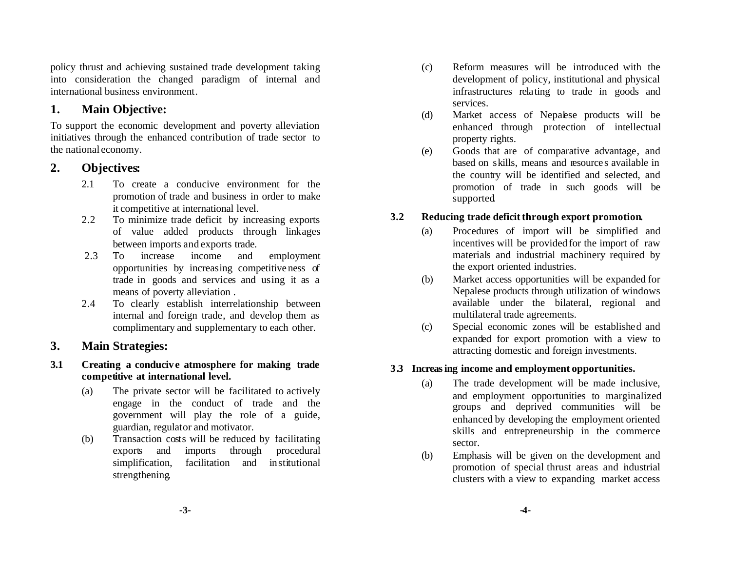policy thrust and achieving sustained trade development taking into consideration the changed paradigm of internal and international business environment.

## **1. Main Objective:**

To support the economic development and poverty alleviation initiatives through the enhanced contribution of trade sector to the national economy.

## **2. Objectives:**

- 2.1 To create a conducive environment for the promotion of trade and business in order to make it competitive at international level.
- 2.2 To minimize trade deficit by increasing exports of value added products through linkages between imports and exports trade.
- 2.3 To increase income and employment opportunities by increasing competitive ness of trade in goods and services and using it as a means of poverty alleviation .
- 2.4 To clearly establish interrelationship between internal and foreign trade, and develop them as complimentary and supplementary to each other.

## **3. Main Strategies:**

- **3.1 Creating a conducive atmosphere for making trade competitive at international level.**
	- (a) The private sector will be facilitated to actively engage in the conduct of trade and the government will play the role of a guide, guardian, regulator and motivator.
	- (b) Transaction costs will be reduced by facilitating exports and imports through procedural simplification, facilitation and institutional strengthening.
- (c) Reform measures will be introduced with the development of policy, institutional and physical infrastructures relating to trade in goods and services.
- (d) Market access of Nepalese products will be enhanced through protection of intellectual property rights.
- (e) Goods that are of comparative advantage, and based on skills, means and resource s available in the country will be identified and selected, and promotion of trade in such goods will be supported.

## **3.2 Reducing trade deficit through export promotion.**

- (a) Procedures of import will be simplified and incentives will be provided for the import of raw materials and industrial machinery required by the export oriented industries.
- (b) Market access opportunities will be expanded for Nepalese products through utilization of windows available under the bilateral, regional and multilateral trade agreements.
- (c) Special economic zones will be established and expanded for export promotion with a view to attracting domestic and foreign investments.

## **3.3 Increasing income and employment opportunities.**

- (a) The trade development will be made inclusive, and employment opportunities to marginalized groups and deprived communities will be enhanced by developing the employment oriented skills and entrepreneurship in the commerce sector.
- (b) Emphasis will be given on the development and promotion of special thrust areas and industrial clusters with a view to expanding market access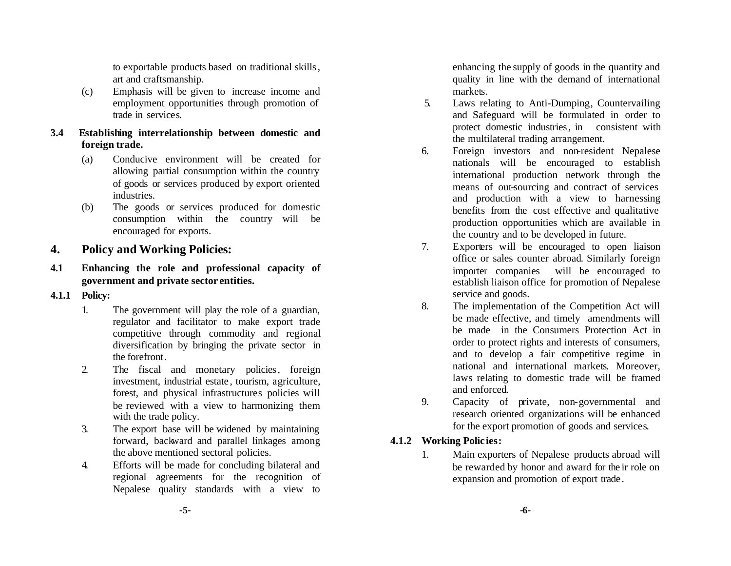to exportable products based on traditional skills, art and craftsmanship.

(c) Emphasis will be given to increase income and employment opportunities through promotion of trade in services.

#### **3.4 Establishing interrelationship between domestic and foreign trade.**

- (a) Conducive environment will be created for allowing partial consumption within the country of goods or services produced by export oriented industries.
- (b) The goods or services produced for domestic consumption within the country will be encouraged for exports.

## **4. Policy and Working Policies:**

## **4.1 Enhancing the role and professional capacity of government and private sector entities.**

#### **4.1.1 Policy:**

- 1. The government will play the role of a guardian, regulator and facilitator to make export trade competitive through commodity and regional diversification by bringing the private sector in the forefront.
- 2. The fiscal and monetary policies, foreign investment, industrial estate , tourism, agriculture, forest, and physical infrastructures policies will be reviewed with a view to harmonizing them with the trade policy.
- 3. The export base will be widened by maintaining forward, backward and parallel linkages among the above mentioned sectoral policies.
- 4. Efforts will be made for concluding bilateral and regional agreements for the recognition of Nepalese quality standards with a view to

enhancing the supply of goods in the quantity and quality in line with the demand of international markets.

- 5. Laws relating to Anti-Dumping, Countervailing and Safeguard will be formulated in order to protect domestic industries, in consistent with the multilateral trading arrangement.
- 6. Foreign investors and non-resident Nepalese nationals will be encouraged to establish international production network through the means of out-sourcing and contract of services and production with a view to harnessing benefits from the cost effective and qualitative production opportunities which are available in the country and to be developed in future.
- 7. Exporters will be encouraged to open liaison office or sales counter abroad. Similarly foreign importer companies will be encouraged to establish liaison office for promotion of Nepalese service and goods.
- 8. The implementation of the Competition Act will be made effective, and timely amendments will be made in the Consumers Protection Act in order to protect rights and interests of consumers, and to develop a fair competitive regime in national and international markets. Moreover, laws relating to domestic trade will be framed and enforced.
- 9. Capacity of private, non-governmental and research oriented organizations will be enhanced for the export promotion of goods and services.

## **4.1.2 Working Polic ies:**

1. Main exporters of Nepalese products abroad will be rewarded by honor and award for the ir role on expansion and promotion of export trade.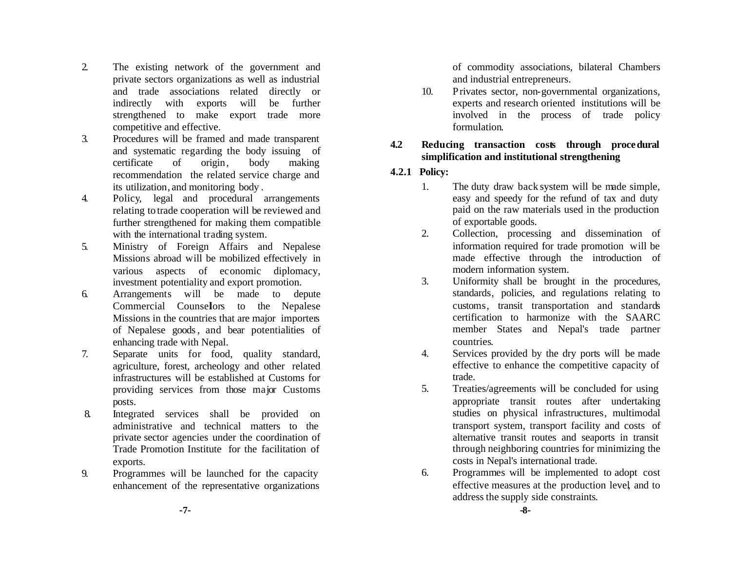- 2. The existing network of the government and private sectors organizations as well as industrial and trade associations related directly or indirectly with exports will be further strengthened to make export trade more competitive and effective.
- 3. Procedures will be framed and made transparent and systematic regarding the body issuing of certificate of origin, body making recommendation the related service charge and its utilization, and monitoring body .
- 4. Policy, legal and procedural arrangements relating to trade cooperation will be reviewed and further strengthened for making them compatible with the international trading system.
- 5. Ministry of Foreign Affairs and Nepalese Missions abroad will be mobilized effectively in various aspects of economic diplomacy, investment potentiality and export promotion.
- 6. Arrangements will be made to depute Commercial Counsellors to the Nepalese Missions in the countries that are major importers of Nepalese goods, and bear potentialities of enhancing trade with Nepal.
- 7. Separate units for food, quality standard, agriculture, forest, archeology and other related infrastructures will be established at Customs for providing services from those major Customs posts.
- 8. Integrated services shall be provided on administrative and technical matters to the private sector agencies under the coordination of Trade Promotion Institute for the facilitation of exports.
- 9. Programmes will be launched for the capacity enhancement of the representative organizations

of commodity associations, bilateral Chambers and industrial entrepreneurs.

10. Privates sector, non-governmental organizations, experts and research oriented institutions will be involved in the process of trade policy formulation.

#### **4.2 Reducing transaction costs through procedural simplification and institutional strengthening**

#### **4.2.1 Policy:**

- 1. The duty draw back system will be made simple, easy and speedy for the refund of tax and duty paid on the raw materials used in the production of exportable goods.
- 2. Collection, processing and dissemination of information required for trade promotion will be made effective through the introduction of modern information system.
- 3. Uniformity shall be brought in the procedures, standards, policies, and regulations relating to customs, transit transportation and standards certification to harmonize with the SAARC member States and Nepal's trade partner countries.
- 4. Services provided by the dry ports will be made effective to enhance the competitive capacity of trade.
- 5. Treaties/agreements will be concluded for using appropriate transit routes after undertaking studies on physical infrastructures, multimodal transport system, transport facility and costs of alternative transit routes and seaports in transit through neighboring countries for minimizing the costs in Nepal's international trade.
- 6. Programmes will be implemented to adopt cost effective measures at the production level, and to address the supply side constraints.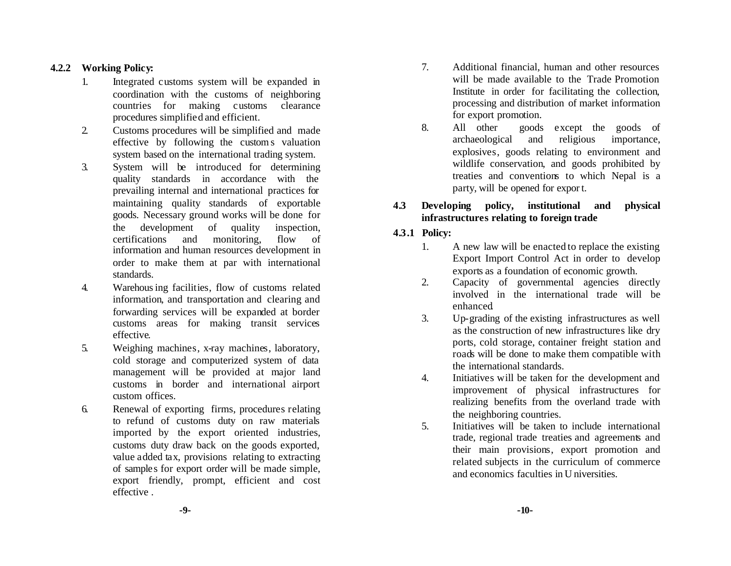#### **4.2.2 Working Policy:**

- 1. Integrated customs system will be expanded in coordination with the customs of neighboring countries for making customs clearance procedures simplified and efficient.
- 2. Customs procedures will be simplified and made effective by following the custom s valuation system based on the international trading system.
- 3. System will be introduced for determining quality standards in accordance with the prevailing internal and international practices for maintaining quality standards of exportable goods. Necessary ground works will be done for the development of quality inspection, certifications and monitoring, flow of information and human resources development in order to make them at par with international standards.
- 4. Warehousing facilities, flow of customs related information, and transportation and clearing and forwarding services will be expanded at border customs areas for making transit services effective.
- 5. Weighing machines, x-ray machines, laboratory, cold storage and computerized system of data management will be provided at major land customs in border and international airport custom offices.
- 6. Renewal of exporting firms, procedures relating to refund of customs duty on raw materials imported by the export oriented industries, customs duty draw back on the goods exported, value added tax, provisions relating to extracting of samples for export order will be made simple, export friendly, prompt, efficient and cost effective .
- 7. Additional financial, human and other resources will be made available to the Trade Promotion Institute in order for facilitating the collection, processing and distribution of market information for export promotion.
- 8. All other goods except the goods of archaeological and religious importance, explosives, goods relating to environment and wildlife conservation, and goods prohibited by treaties and conventions to which Nepal is a party, will be opened for expor t.

#### **4.3 Developing policy, institutional and physical infrastructures relating to foreign trade**

#### **4.3.1 Policy:**

- 1. A new law will be enacted to replace the existing Export Import Control Act in order to develop exports as a foundation of economic growth.
- 2. Capacity of governmental agencies directly involved in the international trade will be enhanced.
- 3. Up-grading of the existing infrastructures as well as the construction of new infrastructures like dry ports, cold storage, container freight station and roads will be done to make them compatible with the international standards.
- 4. Initiatives will be taken for the development and improvement of physical infrastructures for realizing benefits from the overland trade with the neighboring countries.
- 5. Initiatives will be taken to include international trade, regional trade treaties and agreements and their main provisions, export promotion and related subjects in the curriculum of commerce and economics faculties in U niversities.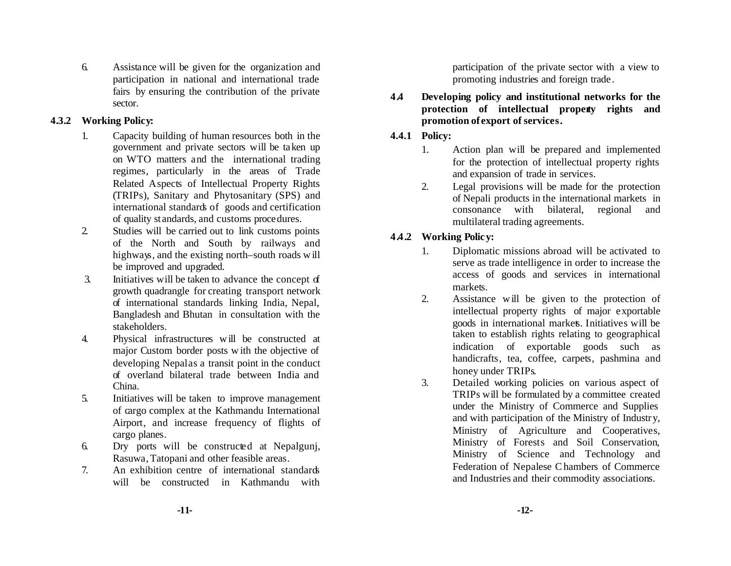6. Assistance will be given for the organization and participation in national and international trade fairs by ensuring the contribution of the private sector.

#### **4.3.2 Working Policy:**

- 1. Capacity building of human resources both in the government and private sectors will be taken up on WTO matters and the international trading regimes, particularly in the areas of Trade Related Aspects of Intellectual Property Rights (TRIPs), Sanitary and Phytosanitary (SPS) and international standards of goods and certification of quality st andards, and customs procedures.
- 2. Studies will be carried out to link customs points of the North and South by railways and highways, and the existing north–south roads w ill be improved and upgraded.
- 3. Initiatives will be taken to advance the concept of growth quadrangle for creating transport network of international standards linking India, Nepal, Bangladesh and Bhutan in consultation with the stakeholders.
- 4. Physical infrastructures w ill be constructed at major Custom border posts w ith the objective of developing Nepalas a transit point in the conduct of overland bilateral trade between India and China.
- 5. Initiatives will be taken to improve management of cargo complex at the Kathmandu International Airport, and increase frequency of flights of cargo planes.
- 6. Dry ports will be constructed at Nepalgunj, Rasuwa,Tatopani and other feasible areas.
- 7. An exhibition centre of international standards will be constructed in Kathmandu with

participation of the private sector with a view to promoting industries and foreign trade .

**4.4 Developing policy and institutional networks for the protection of intellectual property rights and promotion of export of services.** 

#### **4.4.1 Policy:**

- 1. Action plan will be prepared and implemented for the protection of intellectual property rights and expansion of trade in services.
- 2. Legal provisions will be made for the protection of Nepali products in the international markets in consonance with bilateral, regional and multilateral trading agreements.

## **4.4.2 Working Policy:**

- 1. Diplomatic missions abroad will be activated to serve as trade intelligence in order to increase the access of goods and services in international markets.
- 2. Assistance w ill be given to the protection of intellectual property rights of major exportable goods in international markets. Initiatives will be taken to establish rights relating to geographical indication of exportable goods such as handicrafts, tea, coffee, carpets, pashmina and honey under TRIPs.
- 3. Detailed working policies on various aspect of TRIPs will be formulated by a committee created under the Ministry of Commerce and Supplies and with participation of the Ministry of Industry, Ministry of Agriculture and Cooperatives, Ministry of Forests and Soil Conservation, Ministry of Science and Technology and Federation of Nepalese Chambers of Commerce and Industries and their commodity associations.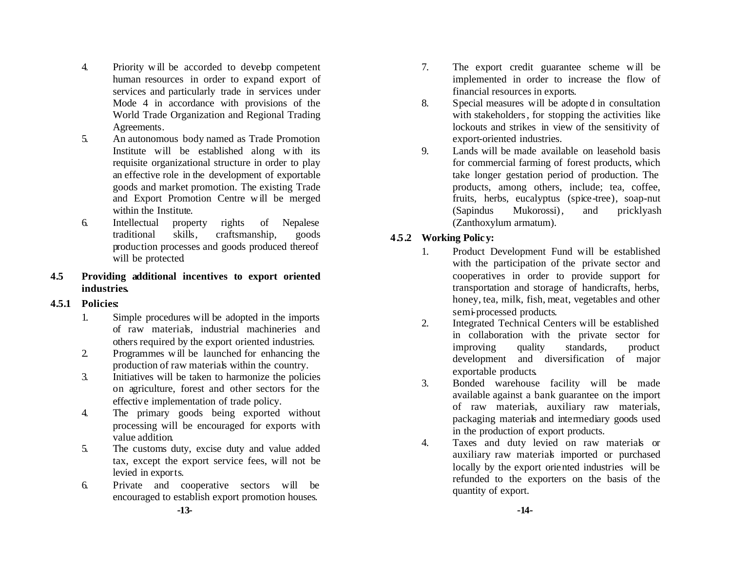- 4. Priority w ill be accorded to develop competent human resources in order to expand export of services and particularly trade in services under Mode 4 in accordance with provisions of the World Trade Organization and Regional Trading Agreements.
- 5. An autonomous body named as Trade Promotion Institute will be established along w ith its requisite organizational structure in order to play an effective role in the development of exportable goods and market promotion. The existing Trade and Export Promotion Centre w ill be merged within the Institute.
- 6. Intellectual property rights of Nepalese traditional skills, craftsmanship, goods production processes and goods produced thereof will be protected

#### **4.5 Providing additional incentives to export oriented industries.**

#### **4.5.1 Policies:**

- 1. Simple procedures will be adopted in the imports of raw materials, industrial machineries and others required by the export oriented industries.
- 2. Programmes w ill be launched for enhancing the production of raw materials within the country.
- 3. Initiatives will be taken to harmonize the policies on agriculture, forest and other sectors for the effective implementation of trade policy.
- 4. The primary goods being exported without processing will be encouraged for exports with value addition.
- 5. The customs duty, excise duty and value added tax, except the export service fees, will not be levied in exports.
- 6. Private and cooperative sectors will be encouraged to establish export promotion houses.
- 7. The export credit guarantee scheme w ill be implemented in order to increase the flow of financial resources in exports.
- 8. Special measures will be adopte d in consultation with stakeholders, for stopping the activities like lockouts and strikes in view of the sensitivity of export-oriented industries.
- 9. Lands will be made available on leasehold basis for commercial farming of forest products, which take longer gestation period of production. The products, among others, include; tea, coffee, fruits, herbs, eucalyptus (spice-tree), soap-nut (Sapindus Mukorossi), and pricklyash (Zanthoxylum armatum).

## **4.5.2 Working Policy:**

- 1. Product Development Fund will be established with the participation of the private sector and cooperatives in order to provide support for transportation and storage of handicrafts, herbs, honey, tea, milk, fish, meat, vegetables and other semi-processed products.
- 2. Integrated Technical Centers will be established in collaboration with the private sector for improving quality standards, product development and diversification of major exportable products.
- 3. Bonded warehouse facility will be made available against a bank guarantee on the import of raw materials, auxiliary raw materials, packaging materials and intermediary goods used in the production of export products.
- 4. Taxes and duty levied on raw materials or auxiliary raw materials imported or purchased locally by the export oriented industries will be refunded to the exporters on the basis of the quantity of export.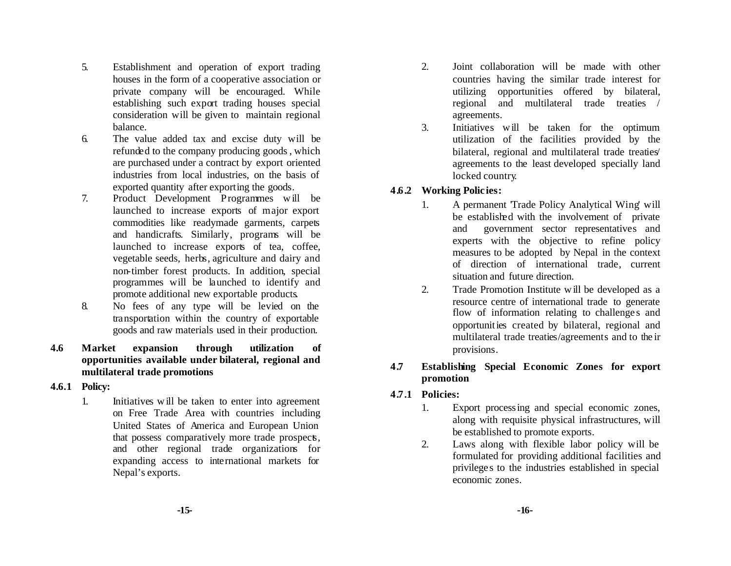- 5. Establishment and operation of export trading houses in the form of a cooperative association or private company will be encouraged. While establishing such export trading houses special consideration will be given to maintain regional balance.
- 6. The value added tax and excise duty will be refunded to the company producing goods, which are purchased under a contract by export oriented industries from local industries, on the basis of exported quantity after exporting the goods.
- 7. Product Development Programmes w ill be launched to increase exports of major export commodities like readymade garments, carpets and handicrafts. Similarly, programs will be launched to increase exports of tea, coffee, vegetable seeds, herbs, agriculture and dairy and non-timber forest products. In addition, special programmes will be launched to identify and promote additional new exportable products.
- 8. No fees of any type will be levied on the transportation within the country of exportable goods and raw materials used in their production.
- **4.6 Market expansion through utilization of opportunities available under bilateral, regional and multilateral trade promotions**
- **4.6.1 Policy:**
	- 1. Initiatives w ill be taken to enter into agreement on Free Trade Area with countries including United States of America and European Union that possess comparatively more trade prospects, and other regional trade organizations for expanding access to international markets for Nepal's exports.
- 2. Joint collaboration will be made with other countries having the similar trade interest for utilizing opportunities offered by bilateral, regional and multilateral trade treaties / agreements.
- 3. Initiatives w ill be taken for the optimum utilization of the facilities provided by the bilateral, regional and multilateral trade treaties agreements to the least developed specially land locked country.

#### **4.6.2 Working Polic ies:**

- 1. A permanent 'Trade Policy Analytical Wing' will be established with the involvement of private and government sector representatives and experts with the objective to refine policy measures to be adopted by Nepal in the context of direction of international trade, current situation and future direction.
- 2. Trade Promotion Institute w ill be developed as a resource centre of international trade to generate flow of information relating to challenges and opportunities created by bilateral, regional and multilateral trade treaties/agreements and to the ir provisions.

#### **4.7 Establishing Special Economic Zones for export promotion**

- **4.7.1 Policies:**
	- 1. Export processing and special economic zones, along with requisite physical infrastructures, will be established to promote exports.
	- 2. Laws along with flexible labor policy will be formulated for providing additional facilities and privilege s to the industries established in special economic zones.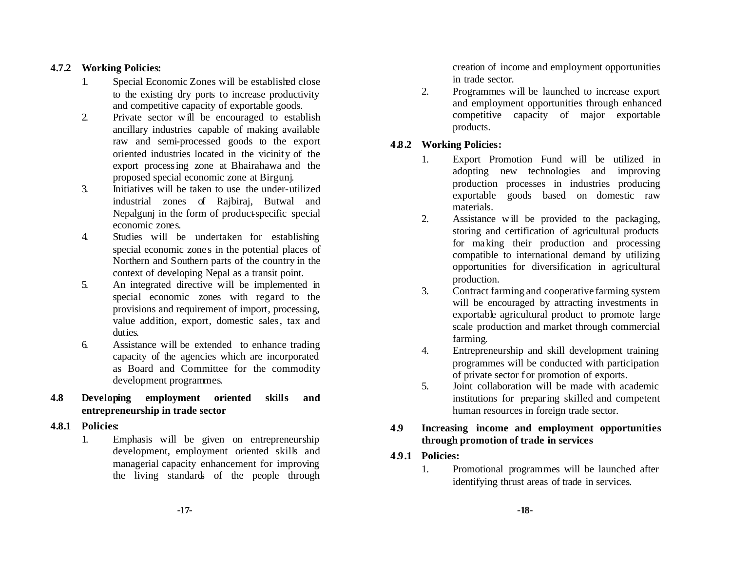#### **4.7.2 Working Policies:**

- 1. Special Economic Zones will be established close to the existing dry ports to increase productivity and competitive capacity of exportable goods.
- 2. Private sector w ill be encouraged to establish ancillary industries capable of making available raw and semi-processed goods to the export oriented industries located in the vicinity of the export processing zone at Bhairahawa and the proposed special economic zone at Birgunj.
- 3. Initiatives will be taken to use the under-utilized industrial zones of Rajbiraj, Butwal and Nepalgunj in the form of product-specific special economic zones.
- 4. Studies will be undertaken for establishing special economic zones in the potential places of Northern and Southern parts of the country in the context of developing Nepal as a transit point.
- 5. An integrated directive will be implemented in special economic zones with regard to the provisions and requirement of import, processing, value addition, export, domestic sales, tax and duties.
- 6. Assistance will be extended to enhance trading capacity of the agencies which are incorporated as Board and Committee for the commodity development programmes.
- **4.8 Developing employment oriented skills and entrepreneurship in trade sector**
- **4.8.1 Policies:**
	- 1. Emphasis will be given on entrepreneurship development, employment oriented skills and managerial capacity enhancement for improving the living standards of the people through

creation of income and employment opportunities in trade sector.

2. Programmes will be launched to increase export and employment opportunities through enhanced competitive capacity of major exportable products.

## **4.8.2 Working Policies:**

- 1. Export Promotion Fund will be utilized in adopting new technologies and improving production processes in industries producing exportable goods based on domestic raw materials.
- 2. Assistance w ill be provided to the packaging, storing and certification of agricultural products for making their production and processing compatible to international demand by utilizing opportunities for diversification in agricultural production.
- 3. Contract farming and cooperative farming system will be encouraged by attracting investments in exportable agricultural product to promote large scale production and market through commercial farming.
- 4. Entrepreneurship and skill development training programmes will be conducted with participation of private sector for promotion of exports.
- 5. Joint collaboration will be made with academic institutions for preparing skilled and competent human resources in foreign trade sector.

#### **4.9 Increasing income and employment opportunities through promotion of trade in services**

- **4.9.1 Policies:**
	- 1. Promotional programmes will be launched after identifying thrust areas of trade in services.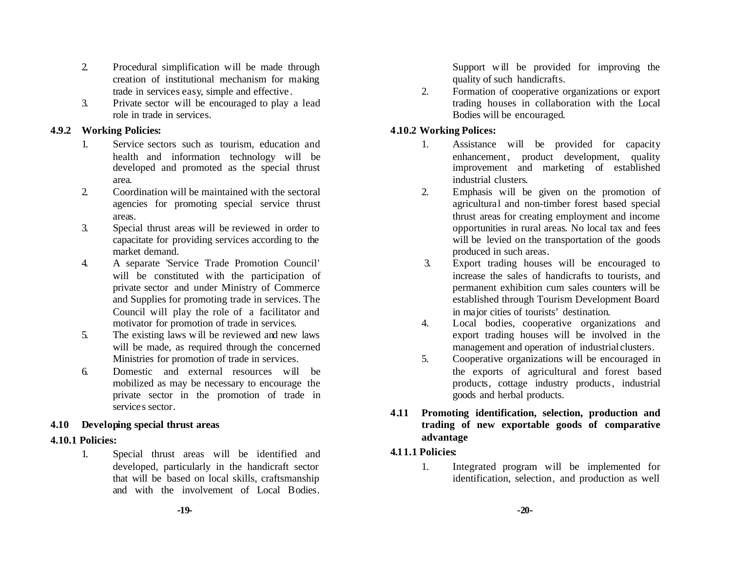- 2. Procedural simplification will be made through creation of institutional mechanism for making trade in services easy, simple and effective .
- 3. Private sector will be encouraged to play a lead role in trade in services.

#### **4.9.2 Working Policies:**

- 1. Service sectors such as tourism, education and health and information technology will be developed and promoted as the special thrust area.
- 2. Coordination will be maintained with the sectoral agencies for promoting special service thrust areas.
- 3. Special thrust areas will be reviewed in order to capacitate for providing services according to the market demand.
- 4. A separate 'Service Trade Promotion Council' will be constituted with the participation of private sector and under Ministry of Commerce and Supplies for promoting trade in services. The Council will play the role of a facilitator and motivator for promotion of trade in services.
- 5. The existing laws w ill be reviewed and new laws will be made, as required through the concerned Ministries for promotion of trade in services.
- 6. Domestic and external resources will be mobilized as may be necessary to encourage the private sector in the promotion of trade in services sector.

## **4.10 Developing special thrust areas**

## **4.10.1 Policies:**

1. Special thrust areas will be identified and developed, particularly in the handicraft sector that will be based on local skills, craftsmanship and with the involvement of Local Bodies. Support will be provided for improving the quality of such handicrafts.

2. Formation of cooperative organizations or export trading houses in collaboration with the Local Bodies will be encouraged.

## **4.10.2 Working Polices:**

- 1. Assistance will be provided for capacity enhancement, product development, quality improvement and marketing of established industrial clusters.
- 2. Emphasis will be given on the promotion of agricultural and non-timber forest based special thrust areas for creating employment and income opportunities in rural areas. No local tax and fees will be levied on the transportation of the goods produced in such areas.
- 3. Export trading houses will be encouraged to increase the sales of handicrafts to tourists, and permanent exhibition cum sales counters will be established through Tourism Development Board in major cities of tourists' destination.
- 4. Local bodies, cooperative organizations and export trading houses will be involved in the management and operation of industrial clusters.
- 5. Cooperative organizations will be encouraged in the exports of agricultural and forest based products, cottage industry products, industrial goods and herbal products.
- **4.11 Promoting identification, selection, production and trading of new exportable goods of comparative advantage**

## **4.11.1 Policies:**

1. Integrated program will be implemented for identification, selection, and production as well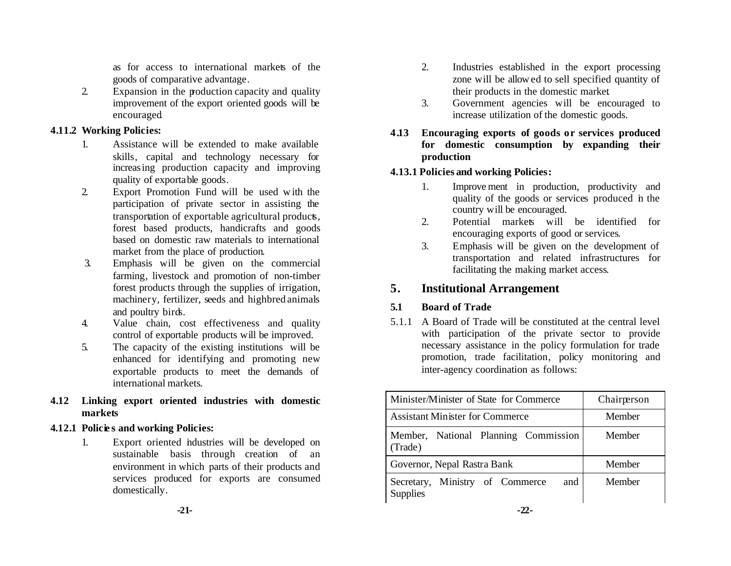as for access to international markets of the goods of comparative advantage.

2. Expansion in the production capacity and quality improvement of the export oriented goods will be encouraged.

#### **4.11.2 Working Policies:**

- 1. Assistance will be extended to make available skills, capital and technology necessary for increasing production capacity and improving quality of exportable goods.
- 2. Export Promotion Fund will be used w ith the participation of private sector in assisting the transportation of exportable agricultural products, forest based products, handicrafts and goods based on domestic raw materials to international market from the place of production.
- 3. Emphasis will be given on the commercial farming, livestock and promotion of non-timber forest products through the supplies of irrigation, machinery, fertilizer, seeds and highbred animals and poultry birds.
- 4. Value chain, cost effectiveness and quality control of exportable products will be improved.
- 5. The capacity of the existing institutions will be enhanced for identifying and promoting new exportable products to meet the demands of international markets.
- **4.12 Linking export oriented industries with domestic markets**

#### **4.12.1 Policie s and working Policies:**

1. Export oriented industries will be developed on sustainable basis through creation of an environment in which parts of their products and services produced for exports are consumed domestically.

- 2. Industries established in the export processing zone will be allow ed to sell specified quantity of their products in the domestic market.
- 3. Government agencies will be encouraged to increase utilization of the domestic goods.
- **4.13 Encouraging exports of goods or services produced for domestic consumption by expanding their production**

#### **4.13.1 Policies and working Policies:**

- 1. Improve ment in production, productivity and quality of the goods or services produced in the country will be encouraged.
- 2. Potential markets will be identified for encouraging exports of good or services.
- 3. Emphasis will be given on the development of transportation and related infrastructures for facilitating the making market access.

## **5. Institutional Arrangement**

## **5.1 Board of Trade**

5.1.1 A Board of Trade will be constituted at the central level with participation of the private sector to provide necessary assistance in the policy formulation for trade promotion, trade facilitation, policy monitoring and inter-agency coordination as follows:

| Minister/Minister of State for Commerce                   | Chairperson |
|-----------------------------------------------------------|-------------|
| <b>Assistant Minister for Commerce</b>                    | Member      |
| Member, National Planning Commission<br>(Trade)           | Member      |
| Governor, Nepal Rastra Bank                               | Member      |
| Secretary, Ministry of Commerce<br>and<br><b>Supplies</b> | Member      |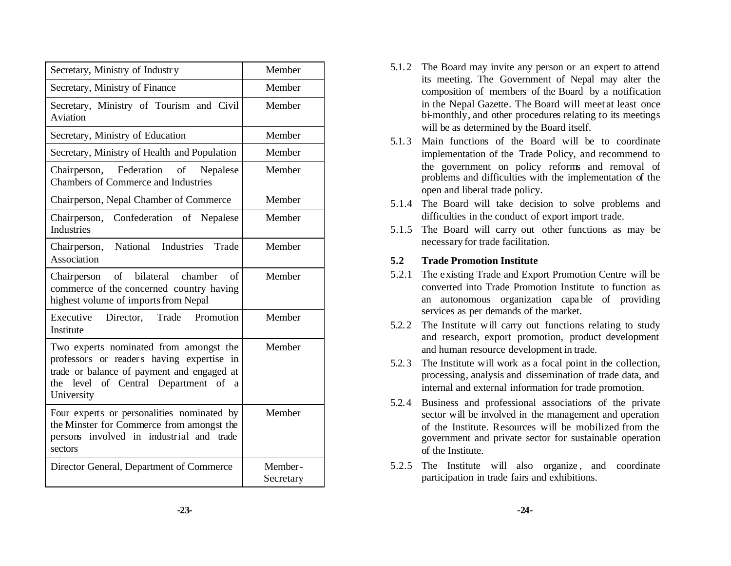| Secretary, Ministry of Industry                                                                                                                                                            | Member               |
|--------------------------------------------------------------------------------------------------------------------------------------------------------------------------------------------|----------------------|
| Secretary, Ministry of Finance                                                                                                                                                             | Member               |
| Secretary, Ministry of Tourism and Civil<br>Aviation                                                                                                                                       | Member               |
| Secretary, Ministry of Education                                                                                                                                                           | Member               |
| Secretary, Ministry of Health and Population                                                                                                                                               | Member               |
| Chairperson, Federation<br>of<br>Nepalese<br><b>Chambers of Commerce and Industries</b>                                                                                                    | Member               |
| Chairperson, Nepal Chamber of Commerce                                                                                                                                                     | Member               |
| Confederation of Nepalese<br>Chairperson,<br><b>Industries</b>                                                                                                                             | Member               |
| National<br>Industries<br>Trade<br>Chairperson,<br>Association                                                                                                                             | Member               |
| of bilateral chamber<br>of<br>Chairperson<br>commerce of the concerned country having<br>highest volume of imports from Nepal                                                              | Member               |
| Executive<br>Director, Trade<br>Promotion<br>Institute                                                                                                                                     | Member               |
| Two experts nominated from amongst the<br>professors or readers having expertise in<br>trade or balance of payment and engaged at<br>the level of Central Department of<br>a<br>University | Member               |
| Four experts or personalities nominated by<br>the Minster for Commerce from amongst the<br>involved in industrial and trade<br>persons<br>sectors                                          | Member               |
| Director General, Department of Commerce                                                                                                                                                   | Member-<br>Secretary |

- 5.1.2 The Board may invite any person or an expert to attend its meeting. The Government of Nepal may alter the composition of members of the Board by a notification in the Nepal Gazette. The Board will meet at least once bi-monthly, and other procedures relating to its meetings will be as determined by the Board itself.
- 5.1.3 Main functions of the Board will be to coordinate implementation of the Trade Policy, and recommend to the government on policy reforms and removal of problems and difficulties with the implementation of the open and liberal trade policy.
- 5.1.4 The Board will take decision to solve problems and difficulties in the conduct of export import trade.
- 5.1.5 The Board will carry out other functions as may be necessary for trade facilitation.

#### **5.2 Trade Promotion Institute**

- 5.2.1 The existing Trade and Export Promotion Centre will be converted into Trade Promotion Institute to function as an autonomous organization capa ble of providing services as per demands of the market.
- 5.2.2 The Institute w ill carry out functions relating to study and research, export promotion, product development and human resource development in trade.
- 5.2.3 The Institute will work as a focal point in the collection, processing, analysis and dissemination of trade data, and internal and external information for trade promotion.
- 5.2.4 Business and professional associations of the private sector will be involved in the management and operation of the Institute. Resources will be mobilized from the government and private sector for sustainable operation of the Institute.
- 5.2.5 The Institute will also organize , and coordinate participation in trade fairs and exhibitions.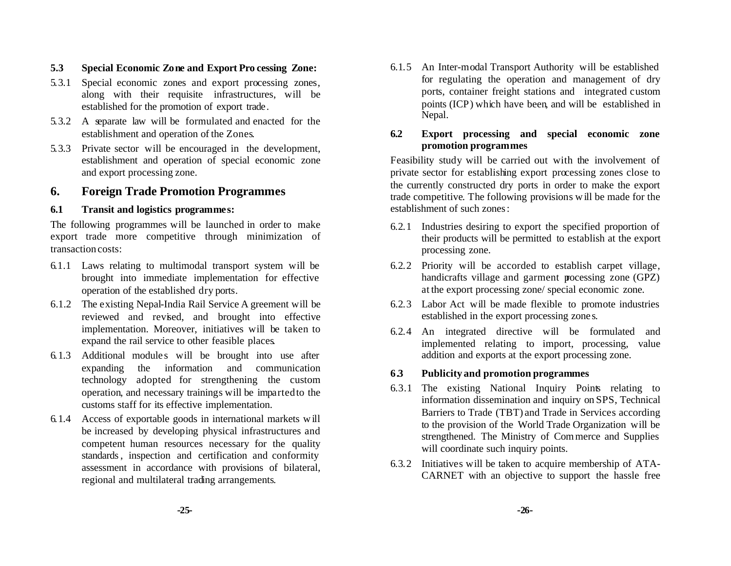#### **5.3 Special Economic Zone and Export Pro cessing Zone:**

- 5.3.1 Special economic zones and export processing zones, along with their requisite infrastructures, will be established for the promotion of export trade.
- 5.3.2 A separate law will be formulated and enacted for the establishment and operation of the Zones.
- 5.3.3 Private sector will be encouraged in the development, establishment and operation of special economic zone and export processing zone.

## **6. Foreign Trade Promotion Programmes**

#### **6.1 Transit and logistics programmes:**

The following programmes will be launched in order to make export trade more competitive through minimization of transaction costs:

- 6.1.1 Laws relating to multimodal transport system will be brought into immediate implementation for effective operation of the established dry ports.
- 6.1.2 The existing Nepal-India Rail Service A greement will be reviewed and revised, and brought into effective implementation. Moreover, initiatives will be taken to expand the rail service to other feasible places.
- 6.1.3 Additional module s will be brought into use after expanding the information and communication technology adopted for strengthening the custom operation, and necessary trainings will be impartedto the customs staff for its effective implementation.
- 6.1.4 Access of exportable goods in international markets w ill be increased by developing physical infrastructures and competent human resources necessary for the quality standards, inspection and certification and conformity assessment in accordance with provisions of bilateral, regional and multilateral trading arrangements.

6.1.5 An Inter-modal Transport Authority will be established for regulating the operation and management of dry ports, container freight stations and integrated custom points (ICP) which have been, and will be established in Nepal.

#### **6.2 Export processing and special economic zone promotion programmes**

Feasibility study will be carried out with the involvement of private sector for establishing export processing zones close to the currently constructed dry ports in order to make the export trade competitive. The following provisions w ill be made for the establishment of such zones:

- 6.2.1 Industries desiring to export the specified proportion of their products will be permitted to establish at the export processing zone.
- 6.2.2 Priority will be accorded to establish carpet village, handicrafts village and garment processing zone (GPZ) at the export processing zone/ special economic zone.
- 6.2.3 Labor Act will be made flexible to promote industries established in the export processing zone s.
- 6.2.4 An integrated directive will be formulated and implemented relating to import, processing, value addition and exports at the export processing zone.

#### **6.3 Publicity and promotion programmes**

- 6.3.1 The existing National Inquiry Points relating to information dissemination and inquiry on SPS, Technical Barriers to Trade (TBT) and Trade in Services according to the provision of the World Trade Organization will be strengthened. The Ministry of Commerce and Supplies will coordinate such inquiry points.
- 6.3.2 Initiatives will be taken to acquire membership of ATA-CARNET with an objective to support the hassle free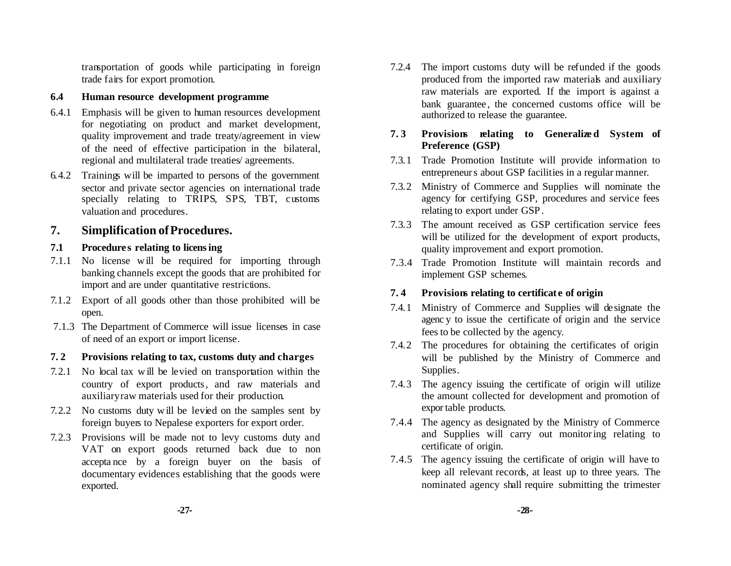transportation of goods while participating in foreign trade fairs for export promotion.

#### **6.4 Human resource development programme**

- 6.4.1 Emphasis will be given to human resources development for negotiating on product and market development, quality improvement and trade treaty/agreement in view of the need of effective participation in the bilateral, regional and multilateral trade treaties/ agreements.
- 6.4.2 Trainings will be imparted to persons of the government sector and private sector agencies on international trade specially relating to TRIPS, SPS, TBT, customs valuation and procedures.

## **7. Simplification ofProcedures.**

## **7.1 Procedure s relating to licensing**

- 7.1.1 No license w ill be required for importing through banking channels except the goods that are prohibited for import and are under quantitative restrictions.
- 7.1.2 Export of all goods other than those prohibited will be open.
- 7.1.3 The Department of Commerce will issue licenses in case of need of an export or import license.

#### **7. 2 Provisions relating to tax, customs duty and charges**

- 7.2.1 No local tax w ill be levied on transportation within the country of export products, and raw materials and auxiliaryraw materials used for their production.
- 7.2.2 No customs duty w ill be levied on the samples sent by foreign buyers to Nepalese exporters for export order.
- 7.2.3 Provisions will be made not to levy customs duty and VAT on export goods returned back due to non accepta nce by a foreign buyer on the basis of documentary evidences establishing that the goods were exported.
- 7.2.4 The import customs duty will be refunded if the goods produced from the imported raw materials and auxiliary raw materials are exported. If the import is against a bank guarantee, the concerned customs office will be authorized to release the guarantee.
- **7. 3 Provisions relating to Generalize d System of Preference (GSP)**
- 7.3.1 Trade Promotion Institute will provide information to entrepreneurs about GSP facilities in a regular manner.
- 7.3.2 Ministry of Commerce and Supplies will nominate the agency for certifying GSP, procedures and service fees relating to export under GSP.
- 7.3.3 The amount received as GSP certification service fees will be utilized for the development of export products, quality improvement and export promotion.
- 7.3.4 Trade Promotion Institute will maintain records and implement GSP schemes.

## **7. 4 Provisions relating to certificat e of origin**

- 7.4.1 Ministry of Commerce and Supplies will designate the agenc y to issue the certificate of origin and the service fees to be collected by the agency.
- 7.4.2 The procedures for obtaining the certificates of origin will be published by the Ministry of Commerce and Supplies.
- 7.4.3 The agency issuing the certificate of origin will utilize the amount collected for development and promotion of exportable products.
- 7.4.4 The agency as designated by the Ministry of Commerce and Supplies will carry out monitoring relating to certificate of origin.
- 7.4.5 The agency issuing the certificate of origin will have to keep all relevant records, at least up to three years. The nominated agency shall require submitting the trimester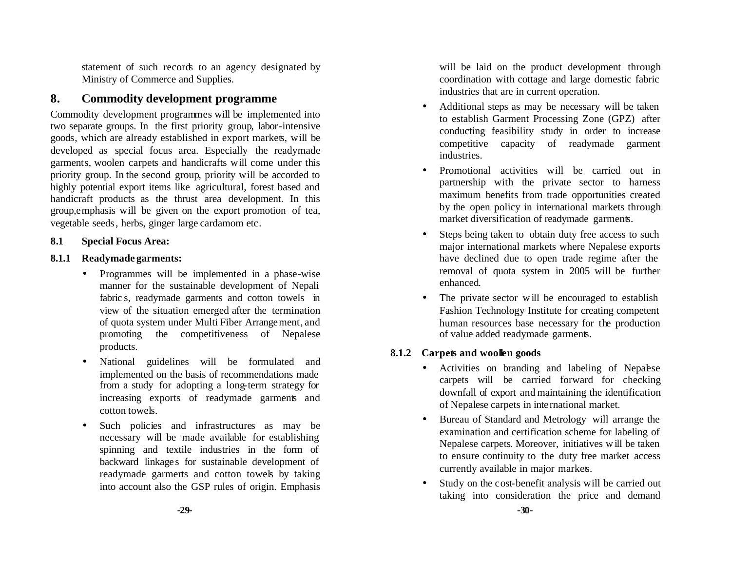statement of such records to an agency designated by Ministry of Commerce and Supplies.

## **8. Commodity development programme**

Commodity development programmes will be implemented into two separate groups. In the first priority group, labor-intensive goods, which are already established in export markets, will be developed as special focus area. Especially the readymade garments, woolen carpets and handicrafts w ill come under this priority group. In the second group, priority will be accorded to highly potential export items like agricultural, forest based and handicraft products as the thrust area development. In this group,emphasis will be given on the export promotion of tea, vegetable seeds, herbs, ginger large cardamom etc.

#### **8.1 Special Focus Area:**

#### **8.1.1 Readymade garments:**

- Programmes will be implemented in a phase-wise manner for the sustainable development of Nepali fabric s, readymade garments and cotton towels in view of the situation emerged after the termination of quota system under Multi Fiber Arrangement, and promoting the competitiveness of Nepalese products.
- National guidelines will be formulated and implemented on the basis of recommendations made from a study for adopting a long-term strategy for increasing exports of readymade garments and cotton towels.
- Such policies and infrastructures as may be necessary will be made available for establishing spinning and textile industries in the form of backward linkages for sustainable development of readymade garments and cotton towels by taking into account also the GSP rules of origin. Emphasis

will be laid on the product development through coordination with cottage and large domestic fabric industries that are in current operation.

- Additional steps as may be necessary will be taken to establish Garment Processing Zone (GPZ) after conducting feasibility study in order to increase competitive capacity of readymade garment industries.
- Promotional activities will be carried out in partnership with the private sector to harness maximum benefits from trade opportunities created by the open policy in international markets through market diversification of readymade garments.
- Steps being taken to obtain duty free access to such major international markets where Nepalese exports have declined due to open trade regime after the removal of quota system in 2005 will be further enhanced.
- The private sector will be encouraged to establish Fashion Technology Institute for creating competent human resources base necessary for the production of value added readymade garments.

#### **8.1.2 Carpets and woollen goods**

- Activities on branding and labeling of Nepalese carpets will be carried forward for checking downfall of export and maintaining the identification of Nepalese carpets in international market.
- Bureau of Standard and Metrology will arrange the examination and certification scheme for labeling of Nepalese carpets. Moreover, initiatives w ill be taken to ensure continuity to the duty free market access currently available in major markets.
- Study on the cost-benefit analysis will be carried out taking into consideration the price and demand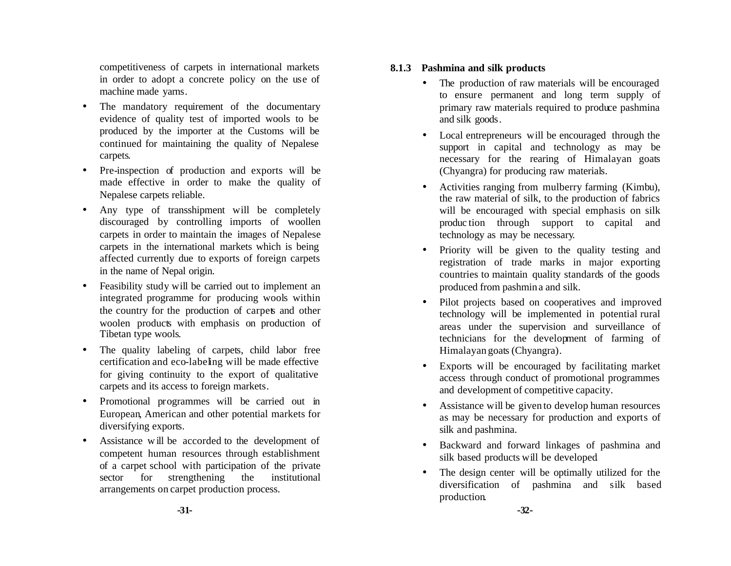competitiveness of carpets in international markets in order to adopt a concrete policy on the use of machine made yarns.

- The mandatory requirement of the documentary evidence of quality test of imported wools to be produced by the importer at the Customs will be continued for maintaining the quality of Nepalese carpets.
- Pre-inspection of production and exports will be made effective in order to make the quality of Nepalese carpets reliable.
- Any type of transshipment will be completely discouraged by controlling imports of woollen carpets in order to maintain the images of Nepalese carpets in the international markets which is being affected currently due to exports of foreign carpets in the name of Nepal origin.
- Feasibility study will be carried out to implement an integrated programme for producing wools within the country for the production of carpets and other woolen products with emphasis on production of Tibetan type wools.
- The quality labeling of carpets, child labor free certification and eco-labeling will be made effective for giving continuity to the export of qualitative carpets and its access to foreign markets.
- Promotional programmes will be carried out in European, American and other potential markets for diversifying exports.
- Assistance will be accorded to the development of competent human resources through establishment of a carpet school with participation of the private sector for strengthening the institutional arrangements on carpet production process.

#### **8.1.3 Pashmina and silk products**

- The production of raw materials will be encouraged to ensure permanent and long term supply of primary raw materials required to produce pashmina and silk goods.
- Local entrepreneurs will be encouraged through the support in capital and technology as may be necessary for the rearing of Himalayan goats (Chyangra) for producing raw materials.
- Activities ranging from mulberry farming (Kimbu), the raw material of silk, to the production of fabrics will be encouraged with special emphasis on silk produc tion through support to capital and technology as may be necessary.
- Priority will be given to the quality testing and registration of trade marks in major exporting countries to maintain quality standards of the goods produced from pashmin a and silk.
- Pilot projects based on cooperatives and improved technology will be implemented in potential rural areas under the supervision and surveillance of technicians for the development of farming of Himalayan goats (Chyangra).
- Exports will be encouraged by facilitating market access through conduct of promotional programmes and development of competitive capacity.
- Assistance will be given to develop human resources as may be necessary for production and exports of silk and pashmina.
- Backward and forward linkages of pashmina and silk based products will be developed.
- The design center will be optimally utilized for the diversification of pashmina and silk based production.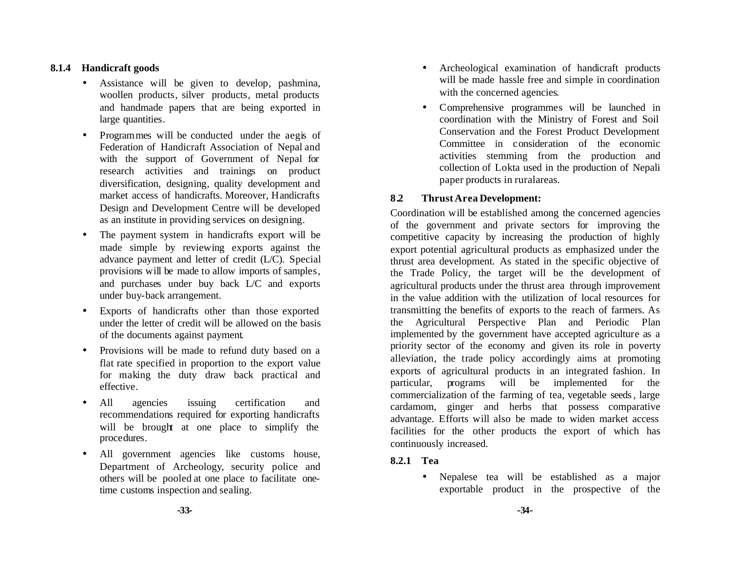#### **8.1.4 Handicraft goods**

- Assistance will be given to develop, pashmina, woollen products, silver products, metal products and handmade papers that are being exported in large quantities.
- Programmes will be conducted under the aegis of Federation of Handicraft Association of Nepal and with the support of Government of Nepal for research activities and trainings on product diversification, designing, quality development and market access of handicrafts. Moreover, Handicrafts Design and Development Centre will be developed as an institute in providing services on designing.
- The payment system in handicrafts export will be made simple by reviewing exports against the advance payment and letter of credit (L/C). Special provisions will be made to allow imports of samples, and purchases under buy back L/C and exports under buy-back arrangement.
- Exports of handicrafts other than those exported under the letter of credit will be allowed on the basis of the documents against payment.
- Provisions will be made to refund duty based on a flat rate specified in proportion to the export value for making the duty draw back practical and effective.
- All agencies issuing certification and recommendations required for exporting handicrafts will be brought at one place to simplify the procedures.
- All government agencies like customs house, Department of Archeology, security police and others will be pooled at one place to facilitate onetime customs inspection and sealing.
- Archeological examination of handicraft products will be made hassle free and simple in coordination with the concerned agencies.
- Comprehensive programmes will be launched in coordination with the Ministry of Forest and Soil Conservation and the Forest Product Development Committee in consideration of the economic activities stemming from the production and collection of Lokta used in the production of Nepali paper products in ruralareas.

#### **8.2 Thrust Area Development:**

Coordination will be established among the concerned agencies of the government and private sectors for improving the competitive capacity by increasing the production of highly export potential agricultural products as emphasized under the thrust area development. As stated in the specific objective of the Trade Policy, the target will be the development of agricultural products under the thrust area through improvement in the value addition with the utilization of local resources for transmitting the benefits of exports to the reach of farmers. As the Agricultural Perspective Plan and Periodic Plan implemented by the government have accepted agriculture as a priority sector of the economy and given its role in poverty alleviation, the trade policy accordingly aims at promoting exports of agricultural products in an integrated fashion. In particular, programs will be implemented for the commercialization of the farming of tea, vegetable seeds, large cardamom, ginger and herbs that possess comparative advantage. Efforts will also be made to widen market access facilities for the other products the export of which has continuously increased.

#### **8.2.1 Tea**

• Nepalese tea will be established as a major exportable product in the prospective of the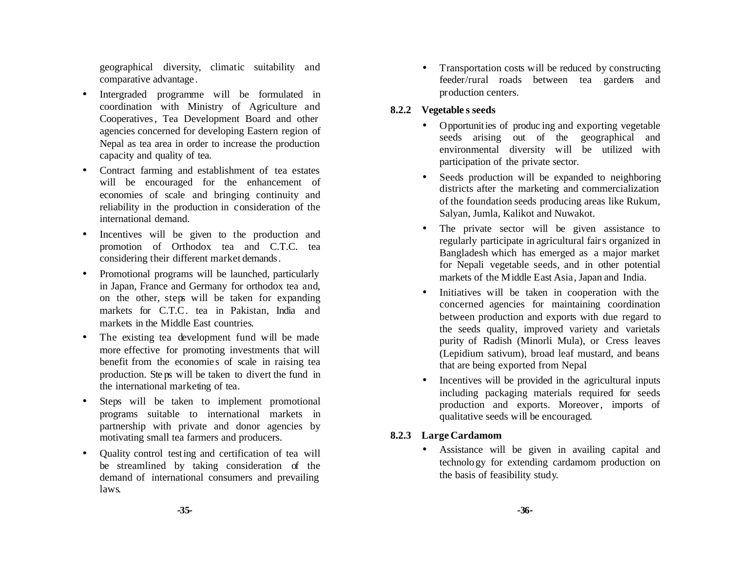geographical diversity, climatic suitability and comparative advantage .

- Intergraded programme will be formulated in coordination with Ministry of Agriculture and Cooperatives, Tea Development Board and other agencies concerned for developing Eastern region of Nepal as tea area in order to increase the production capacity and quality of tea.
- Contract farming and establishment of tea estates will be encouraged for the enhancement of economies of scale and bringing continuity and reliability in the production in consideration of the international demand.
- Incentives will be given to the production and promotion of Orthodox tea and C.T.C. tea considering their different market demands.
- Promotional programs will be launched, particularly in Japan, France and Germany for orthodox tea and, on the other, steps will be taken for expanding markets for C.T.C. tea in Pakistan, India and markets in the Middle East countries.
- The existing tea development fund will be made more effective for promoting investments that will benefit from the economies of scale in raising tea production. Ste ps will be taken to divert the fund in the international marketing of tea.
- Steps will be taken to implement promotional programs suitable to international markets in partnership with private and donor agencies by motivating small tea farmers and producers.
- Quality control testing and certification of tea will be streamlined by taking consideration of the demand of international consumers and prevailing laws.

• Transportation costs will be reduced by constructing feeder/rural roads between tea gardens and production centers.

#### **8.2.2 Vegetable s seeds**

- Opportunities of producing and exporting vegetable seeds arising out of the geographical and environmental diversity will be utilized with participation of the private sector.
- Seeds production will be expanded to neighboring districts after the marketing and commercialization of the foundation seeds producing areas like Rukum, Salyan, Jumla, Kalikot and Nuwakot.
- The private sector will be given assistance to regularly participate in agricultural fairs organized in Bangladesh which has emerged as a major market for Nepali vegetable seeds, and in other potential markets of the Middle East Asia, Japan and India.
- Initiatives will be taken in cooperation with the concerned agencies for maintaining coordination between production and exports with due regard to the seeds quality, improved variety and varietals purity of Radish (Minorli Mula), or Cress leaves (Lepidium sativum), broad leaf mustard, and beans that are being exported from Nepal.
- Incentives will be provided in the agricultural inputs including packaging materials required for seeds production and exports. Moreover, imports of qualitative seeds will be encouraged.

#### **8.2.3 Large Cardamom**

• Assistance will be given in availing capital and technology for extending cardamom production on the basis of feasibility study.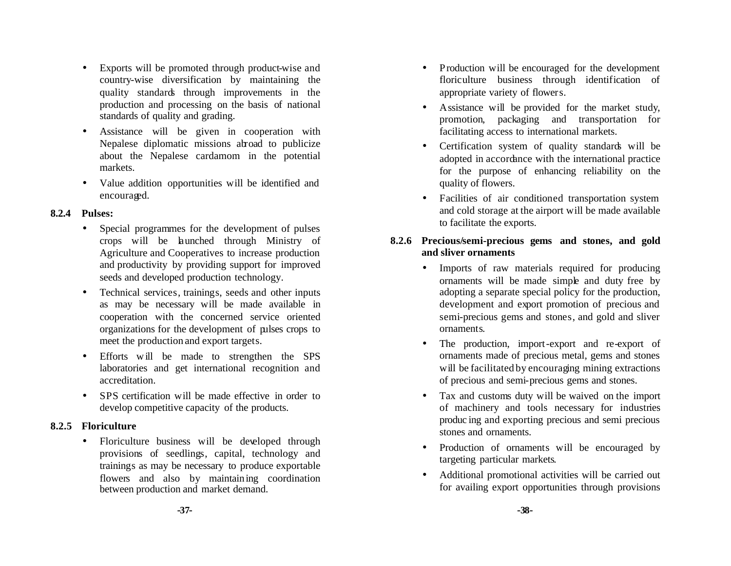- Exports will be promoted through product-wise and country-wise diversification by maintaining the quality standards through improvements in the production and processing on the basis of national standards of quality and grading.
- Assistance will be given in cooperation with Nepalese diplomatic missions abroad to publicize about the Nepalese cardamom in the potential markets.
- Value addition opportunities will be identified and encouraged.

#### **8.2.4 Pulses:**

- Special programmes for the development of pulses crops will be launched through Ministry of Agriculture and Cooperatives to increase production and productivity by providing support for improved seeds and developed production technology.
- Technical services, trainings, seeds and other inputs as may be necessary will be made available in cooperation with the concerned service oriented organizations for the development of pulses crops to meet the production and export targets.
- Efforts w ill be made to strengthen the SPS laboratories and get international recognition and accreditation.
- SPS certification will be made effective in order to develop competitive capacity of the products.

## **8.2.5 Floriculture**

• Floriculture business will be developed through provisions of seedlings, capital, technology and trainings as may be necessary to produce exportable flowers and also by maintaining coordination between production and market demand.

- Production will be encouraged for the development floriculture business through identification of appropriate variety of flowers.
- Assistance will be provided for the market study, promotion, packaging and transportation for facilitating access to international markets.
- Certification system of quality standards will be adopted in accordance with the international practice for the purpose of enhancing reliability on the quality of flowers.
- Facilities of air conditioned transportation system and cold storage at the airport will be made available to facilitate the exports.

#### **8.2.6 Precious/semi-precious gems and stones, and gold and sliver ornaments**

- Imports of raw materials required for producing ornaments will be made simple and duty free by adopting a separate special policy for the production, development and export promotion of precious and semi-precious gems and stones, and gold and sliver ornaments.
- The production, import-export and re-export of ornaments made of precious metal, gems and stones will be facilitated by encouraging mining extractions of precious and semi-precious gems and stones.
- Tax and customs duty will be waived on the import of machinery and tools necessary for industries produc ing and exporting precious and semi precious stones and ornaments.
- Production of ornaments will be encouraged by targeting particular markets.
- Additional promotional activities will be carried out for availing export opportunities through provisions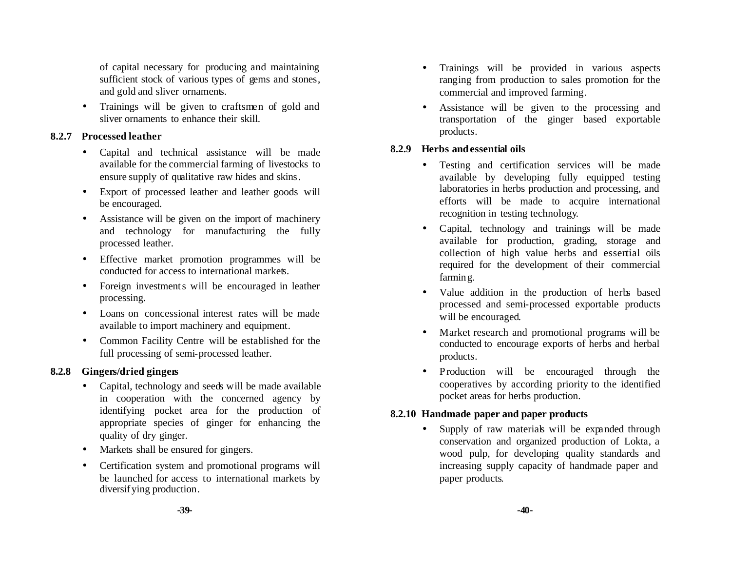of capital necessary for producing and maintaining sufficient stock of various types of gems and stones, and gold and sliver ornaments.

• Trainings will be given to craftsmen of gold and sliver ornaments to enhance their skill.

#### **8.2.7 Processed leather**

- Capital and technical assistance will be made available for the commercial farming of livestocks to ensure supply of qualitative raw hides and skins.
- Export of processed leather and leather goods will be encouraged.
- Assistance will be given on the import of machinery and technology for manufacturing the fully processed leather.
- Effective market promotion programmes will be conducted for access to international markets.
- Foreign investments will be encouraged in leather processing.
- Loans on concessional interest rates will be made available to import machinery and equipment.
- Common Facility Centre will be established for the full processing of semi-processed leather.

## **8.2.8 Gingers/dried gingers**

- Capital, technology and seeds will be made available in cooperation with the concerned agency by identifying pocket area for the production of appropriate species of ginger for enhancing the quality of dry ginger.
- Markets shall be ensured for gingers.
- Certification system and promotional programs will be launched for access to international markets by diversifying production.
- Trainings will be provided in various aspects ranging from production to sales promotion for the commercial and improved farming.
- Assistance will be given to the processing and transportation of the ginger based exportable products.

#### **8.2.9 Herbs and essential oils**

- Testing and certification services will be made available by developing fully equipped testing laboratories in herbs production and processing, and efforts will be made to acquire international recognition in testing technology.
- Capital, technology and trainings will be made available for production, grading, storage and collection of high value herbs and essential oils required for the development of their commercial farming.
- Value addition in the production of herbs based processed and semi-processed exportable products will be encouraged.
- Market research and promotional programs will be conducted to encourage exports of herbs and herbal products.
- Production will be encouraged through the cooperatives by according priority to the identified pocket areas for herbs production.

## **8.2.10 Handmade paper and paper products**

• Supply of raw materials will be expanded through conservation and organized production of Lokta, a wood pulp, for developing quality standards and increasing supply capacity of handmade paper and paper products.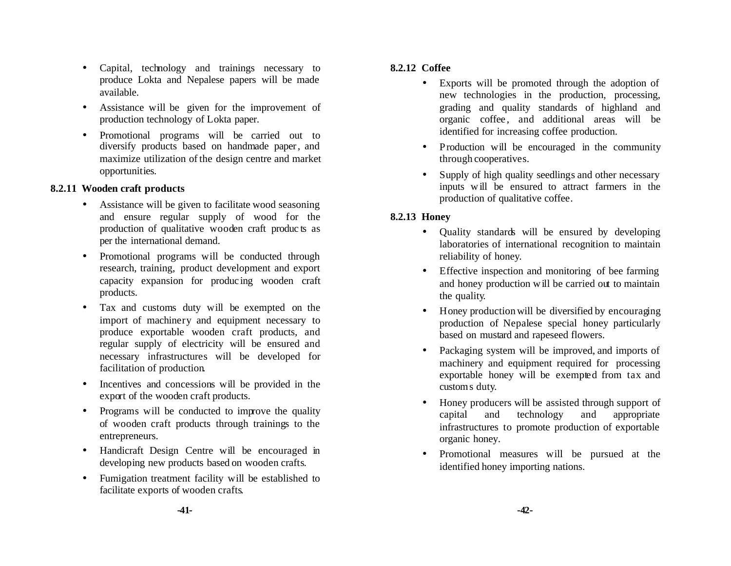- Capital, technology and trainings necessary to produce Lokta and Nepalese papers will be made available.
- Assistance will be given for the improvement of production technology of Lokta paper.
- Promotional programs will be carried out to diversify products based on handmade paper, and maximize utilization of the design centre and market opportunities.

#### **8.2.11 Wooden craft products**

- Assistance will be given to facilitate wood seasoning and ensure regular supply of wood for the production of qualitative wooden craft produc ts as per the international demand.
- Promotional programs will be conducted through research, training, product development and export capacity expansion for produc ing wooden craft products.
- Tax and customs duty will be exempted on the import of machinery and equipment necessary to produce exportable wooden craft products, and regular supply of electricity will be ensured and necessary infrastructures will be developed for facilitation of production.
- Incentives and concessions will be provided in the export of the wooden craft products.
- Programs will be conducted to improve the quality of wooden craft products through trainings to the entrepreneurs.
- Handicraft Design Centre will be encouraged in developing new products based on wooden crafts.
- Fumigation treatment facility will be established to facilitate exports of wooden crafts.

#### **8.2.12 Coffee**

- Exports will be promoted through the adoption of new technologies in the production, processing, grading and quality standards of highland and organic coffee, and additional areas will be identified for increasing coffee production.
- Production will be encouraged in the community through cooperatives.
- Supply of high quality seedlings and other necessary inputs w ill be ensured to attract farmers in the production of qualitative coffee.

#### **8.2.13 Honey**

- Quality standards will be ensured by developing laboratories of international recognition to maintain reliability of honey.
- Effective inspection and monitoring of bee farming and honey production w ill be carried out to maintain the quality.
- Honey production will be diversified by encouraging production of Nepalese special honey particularly based on mustard and rapeseed flowers.
- Packaging system will be improved, and imports of machinery and equipment required for processing exportable honey will be exempted from tax and customs duty.
- Honey producers will be assisted through support of capital and technology and appropriate infrastructures to promote production of exportable organic honey.
- Promotional measures will be pursued at the identified honey importing nations.